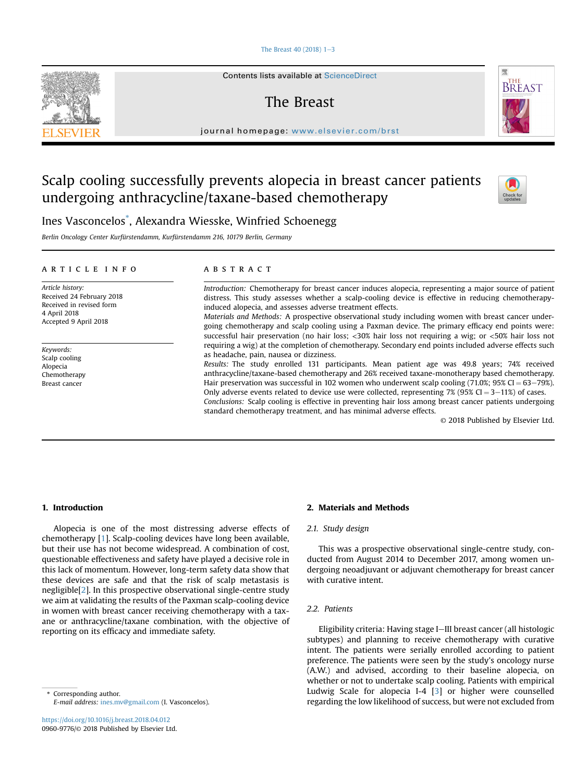## The Breast  $40 (2018)$  1-[3](https://doi.org/10.1016/j.breast.2018.04.012)

Contents lists available at ScienceDirect

# The Breast

journal homepage: [www.elsevier.com/brst](http://www.elsevier.com/brst)

## Scalp cooling successfully prevents alopecia in breast cancer patients undergoing anthracycline/taxane-based chemotherapy



骤

**BREAST** 

Ines Vasconcelos\* , Alexandra Wiesske, Winfried Schoenegg

Berlin Oncology Center Kurfürstendamm, Kurfürstendamm 216, 10179 Berlin, Germany

### article info

Article history: Received 24 February 2018 Received in revised form 4 April 2018 Accepted 9 April 2018

Keywords: Scalp cooling Alopecia Chemotherapy Breast cancer

## **ABSTRACT**

Introduction: Chemotherapy for breast cancer induces alopecia, representing a major source of patient distress. This study assesses whether a scalp-cooling device is effective in reducing chemotherapyinduced alopecia, and assesses adverse treatment effects.

Materials and Methods: A prospective observational study including women with breast cancer undergoing chemotherapy and scalp cooling using a Paxman device. The primary efficacy end points were: successful hair preservation (no hair loss; <30% hair loss not requiring a wig; or <50% hair loss not requiring a wig) at the completion of chemotherapy. Secondary end points included adverse effects such as headache, pain, nausea or dizziness.

Results: The study enrolled 131 participants. Mean patient age was 49.8 years; 74% received anthracycline/taxane-based chemotherapy and 26% received taxane-monotherapy based chemotherapy. Hair preservation was successful in 102 women who underwent scalp cooling  $(71.0\%)$ ; 95% CI = 63-79%). Only adverse events related to device use were collected, representing  $7\%$  (95% CI = 3–11%) of cases. Conclusions: Scalp cooling is effective in preventing hair loss among breast cancer patients undergoing standard chemotherapy treatment, and has minimal adverse effects.

© 2018 Published by Elsevier Ltd.

## 1. Introduction

Alopecia is one of the most distressing adverse effects of chemotherapy [\[1](#page-2-0)]. Scalp-cooling devices have long been available, but their use has not become widespread. A combination of cost, questionable effectiveness and safety have played a decisive role in this lack of momentum. However, long-term safety data show that these devices are safe and that the risk of scalp metastasis is negligible[\[2](#page-2-0)]. In this prospective observational single-centre study we aim at validating the results of the Paxman scalp-cooling device in women with breast cancer receiving chemotherapy with a taxane or anthracycline/taxane combination, with the objective of reporting on its efficacy and immediate safety.

Corresponding author. E-mail address: [ines.mv@gmail.com](mailto:ines.mv@gmail.com) (I. Vasconcelos).

## 2. Materials and Methods

## 2.1. Study design

This was a prospective observational single-centre study, conducted from August 2014 to December 2017, among women undergoing neoadjuvant or adjuvant chemotherapy for breast cancer with curative intent.

## 2.2. Patients

Eligibility criteria: Having stage I-III breast cancer (all histologic subtypes) and planning to receive chemotherapy with curative intent. The patients were serially enrolled according to patient preference. The patients were seen by the study's oncology nurse (A.W.) and advised, according to their baseline alopecia, on whether or not to undertake scalp cooling. Patients with empirical Ludwig Scale for alopecia I-4 [\[3\]](#page-2-0) or higher were counselled regarding the low likelihood of success, but were not excluded from

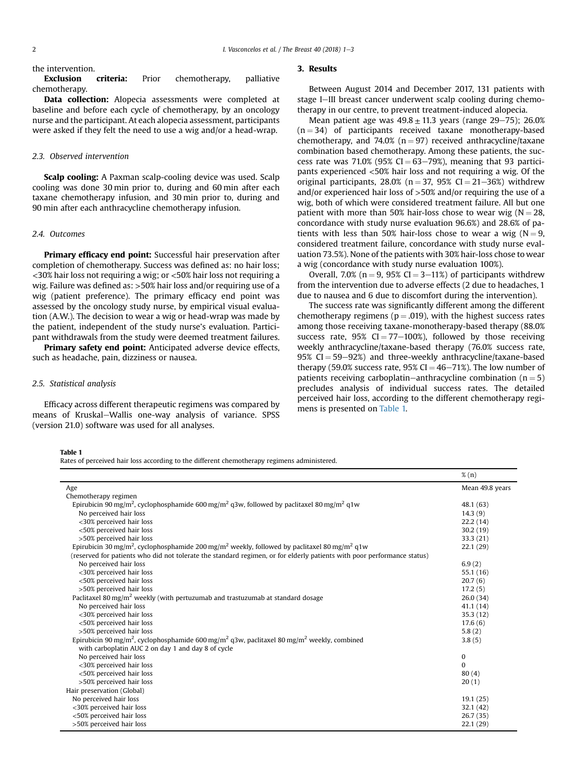the intervention.

Exclusion criteria: Prior chemotherapy, palliative chemotherapy.

Data collection: Alopecia assessments were completed at baseline and before each cycle of chemotherapy, by an oncology nurse and the participant. At each alopecia assessment, participants were asked if they felt the need to use a wig and/or a head-wrap.

## 2.3. Observed intervention

Scalp cooling: A Paxman scalp-cooling device was used. Scalp cooling was done 30 min prior to, during and 60 min after each taxane chemotherapy infusion, and 30 min prior to, during and 90 min after each anthracycline chemotherapy infusion.

#### 2.4. Outcomes

Primary efficacy end point: Successful hair preservation after completion of chemotherapy. Success was defined as: no hair loss; <30% hair loss not requiring a wig; or <50% hair loss not requiring a wig. Failure was defined as: >50% hair loss and/or requiring use of a wig (patient preference). The primary efficacy end point was assessed by the oncology study nurse, by empirical visual evaluation (A.W.). The decision to wear a wig or head-wrap was made by the patient, independent of the study nurse's evaluation. Participant withdrawals from the study were deemed treatment failures.

Primary safety end point: Anticipated adverse device effects, such as headache, pain, dizziness or nausea.

#### 2.5. Statistical analysis

Efficacy across different therapeutic regimens was compared by means of Kruskal-Wallis one-way analysis of variance. SPSS (version 21.0) software was used for all analyses.

## 3. Results

Between August 2014 and December 2017, 131 patients with stage I-III breast cancer underwent scalp cooling during chemotherapy in our centre, to prevent treatment-induced alopecia.

Mean patient age was  $49.8 \pm 11.3$  years (range 29-75); 26.0%  $(n = 34)$  of participants received taxane monotherapy-based chemotherapy, and 74.0% ( $n = 97$ ) received anthracycline/taxane combination based chemotherapy. Among these patients, the success rate was  $71.0\%$  (95% CI = 63–79%), meaning that 93 participants experienced <50% hair loss and not requiring a wig. Of the original participants,  $28.0\%$  (n = 37, 95% CI = 21-36%) withdrew and/or experienced hair loss of >50% and/or requiring the use of a wig, both of which were considered treatment failure. All but one patient with more than 50% hair-loss chose to wear wig  $(N = 28$ , concordance with study nurse evaluation 96.6%) and 28.6% of patients with less than 50% hair-loss chose to wear a wig ( $N = 9$ , considered treatment failure, concordance with study nurse evaluation 73.5%). None of the patients with 30% hair-loss chose to wear a wig (concordance with study nurse evaluation 100%).

Overall, 7.0% ( $n = 9$ , 95% CI = 3–11%) of participants withdrew from the intervention due to adverse effects (2 due to headaches, 1 due to nausea and 6 due to discomfort during the intervention).

The success rate was significantly different among the different chemotherapy regimens ( $p = .019$ ), with the highest success rates among those receiving taxane-monotherapy-based therapy (88.0% success rate,  $95\%$  CI = 77–100%), followed by those receiving weekly anthracycline/taxane-based therapy (76.0% success rate, 95%  $CI = 59-92%$ ) and three-weekly anthracycline/taxane-based therapy (59.0% success rate, 95% CI =  $46-71%$ ). The low number of patients receiving carboplatin-anthracycline combination ( $n = 5$ ) precludes analysis of individual success rates. The detailed perceived hair loss, according to the different chemotherapy regimens is presented on Table 1.

## Table 1

Rates of perceived hair loss according to the different chemotherapy regimens administered.

|                                                                                                                                  | $\%$ (n)        |
|----------------------------------------------------------------------------------------------------------------------------------|-----------------|
| Age                                                                                                                              | Mean 49.8 years |
| Chemotherapy regimen                                                                                                             |                 |
| Epirubicin 90 mg/m <sup>2</sup> , cyclophosphamide 600 mg/m <sup>2</sup> q3w, followed by paclitaxel 80 mg/m <sup>2</sup> q1w    | 48.1 (63)       |
| No perceived hair loss                                                                                                           | 14.3(9)         |
| <30% perceived hair loss                                                                                                         | 22.2(14)        |
| <50% perceived hair loss                                                                                                         | 30.2(19)        |
| >50% perceived hair loss                                                                                                         | 33.3(21)        |
| Epirubicin 30 mg/m <sup>2</sup> , cyclophosphamide 200 mg/m <sup>2</sup> weekly, followed by paclitaxel 80 mg/m <sup>2</sup> q1w | 22.1(29)        |
| (reserved for patients who did not tolerate the standard regimen, or for elderly patients with poor performance status)          |                 |
| No perceived hair loss                                                                                                           | 6.9(2)          |
| <30% perceived hair loss                                                                                                         | 55.1(16)        |
| <50% perceived hair loss                                                                                                         | 20.7(6)         |
| >50% perceived hair loss                                                                                                         | 17.2(5)         |
| Paclitaxel 80 mg/m <sup>2</sup> weekly (with pertuzumab and trastuzumab at standard dosage                                       | 26.0(34)        |
| No perceived hair loss                                                                                                           | 41.1(14)        |
| <30% perceived hair loss                                                                                                         | 35.3(12)        |
| <50% perceived hair loss                                                                                                         | 17.6(6)         |
| >50% perceived hair loss                                                                                                         | 5.8(2)          |
| Epirubicin 90 mg/m <sup>2</sup> , cyclophosphamide 600 mg/m <sup>2</sup> q3w, paclitaxel 80 mg/m <sup>2</sup> weekly, combined   | 3.8(5)          |
| with carboplatin AUC 2 on day 1 and day 8 of cycle                                                                               |                 |
| No perceived hair loss                                                                                                           | 0               |
| <30% perceived hair loss                                                                                                         | $\Omega$        |
| <50% perceived hair loss                                                                                                         | 80(4)           |
| >50% perceived hair loss                                                                                                         | 20(1)           |
| Hair preservation (Global)                                                                                                       |                 |
| No perceived hair loss                                                                                                           | 19.1(25)        |
| <30% perceived hair loss                                                                                                         | 32.1(42)        |
| <50% perceived hair loss                                                                                                         | 26.7(35)        |
| >50% perceived hair loss                                                                                                         | 22.1(29)        |